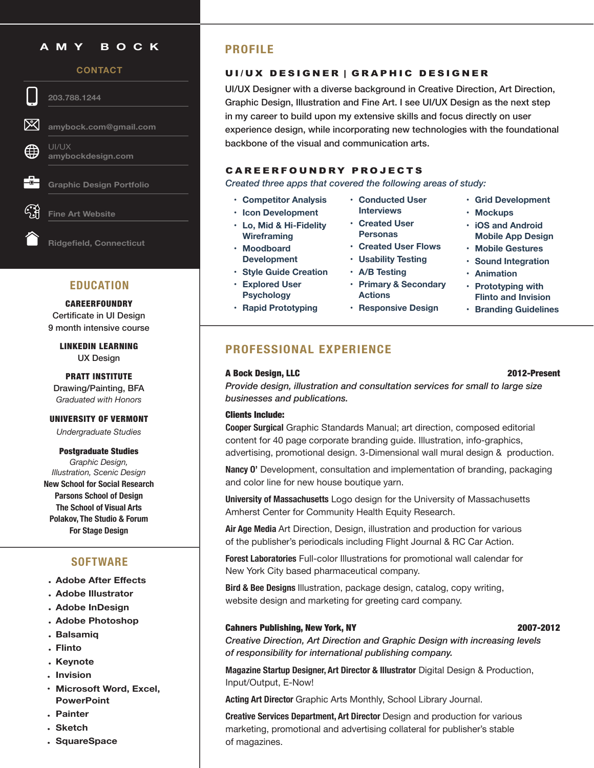# **AMY BOCK**

### **CONTACT**

**203.788.1244** 

**[amybock.com@gmail.com](mailto:amybock.com%40gmail.com%20?subject=)**

UI/UX **amybockdesign.com**

**Graphic Design [Portfolio](https://d3zr9vspdnjxi.cloudfront.net/artistInfo/amybockc/bio/bio_6.pdf?1751)**

**Fine Art [Website](https://amybockart.com/)**

**Ridgefield, Connecticut**

# **EDUCATION**

**CAREERFOUNDRY** Certificate in UI Design 9 month intensive course

> LINKEDIN LEARNING UX Design

PRATT INSTITUTE Drawing/Painting, BFA *Graduated with Honors*

### UNIVERSITY OF VERMONT

*Undergraduate Studies*

Postgraduate Studies *Graphic Design, Illustration, Scenic Design*  **New School for Social Research Parsons School of Design The School of Visual Arts Polakov, The Studio & Forum For Stage Design**

# **SOFTWARE**

- **• Adobe After Effects**
- **• Adobe Illustrator**
- **• Adobe InDesign**
- **• Adobe Photoshop**
- **• Balsamiq**
- **• Flinto**
- **• Keynote**
- **• Invision**
- **• Microsoft Word, Excel, PowerPoint**
- **• Painter**
- **• Sketch**
- **• SquareSpace**

# **PROFILE**

## UI/UX DESIGNER | GRAPHIC DESIGNER

UI/UX Designer with a diverse background in Creative Direction, Art Direction, Graphic Design, Illustration and Fine Art. I see UI/UX Design as the next step in my career to build upon my extensive skills and focus directly on user experience design, while incorporating new technologies with the foundational backbone of the visual and communication arts.

## CAREERFOUNDRY PROJECTS

*Created three apps that covered the following areas of study:*

- **• Competitor Analysis**
- **• Icon Development**
- **• Lo, Mid & Hi-Fidelity Wireframing**
- **• Moodboard Development**
- **• Style Guide Creation**
- **• Explored User Psychology**
- **• Rapid Prototyping**
- **• Conducted User Interviews**
- **• Created User Personas**
- **• Created User Flows**
- **• Usability Testing**
- **• A/B Testing**
- **• Primary & Secondary Actions**
- **• Responsive Design**
- **• Grid Development**
- **• Mockups**
- **• iOS and Android Mobile App Design**
- **• Mobile Gestures**
- **• Sound Integration**
- **• Animation**
- **• Prototyping with Flinto and Invision**
- **• Branding Guidelines**

# **PROFESSIONAL EXPERIENCE**

## A Bock Design, LLC 2012-Present

# *Provide design, illustration and consultation services for small to large size businesses and publications.*

### Clients Include:

**Cooper Surgical** Graphic Standards Manual; art direction, composed editorial content for 40 page corporate branding guide. Illustration, info-graphics, advertising, promotional design. 3-Dimensional wall mural design & production.

**Nancy O'** Development, consultation and implementation of branding, packaging and color line for new house boutique yarn.

**University of Massachusetts** Logo design for the University of Massachusetts Amherst Center for Community Health Equity Research.

**Air Age Media** Art Direction, Design, illustration and production for various of the publisher's periodicals including Flight Journal & RC Car Action.

**Forest Laboratories** Full-color Illustrations for promotional wall calendar for New York City based pharmaceutical company.

**Bird & Bee Designs** Illustration, package design, catalog, copy writing, website design and marketing for greeting card company.

### Cahners Publishing, New York, NY 2007-2012

*Creative Direction, Art Direction and Graphic Design with increasing levels of responsibility for international publishing company.*

**Magazine Startup Designer, Art Director & Illustrator** Digital Design & Production, Input/Output, E-Now!

**Acting Art Director** Graphic Arts Monthly, School Library Journal.

**Creative Services Department, Art Director** Design and production for various marketing, promotional and advertising collateral for publisher's stable of magazines.